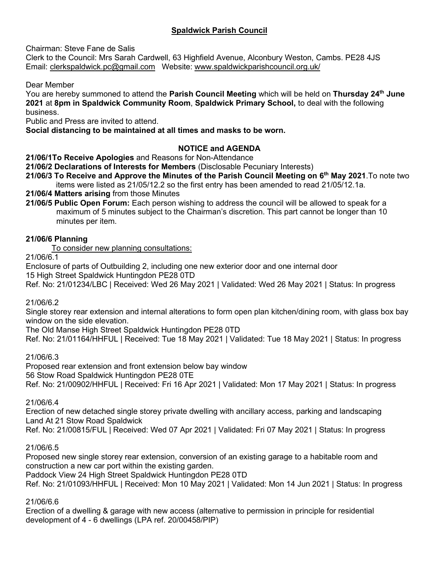# **Spaldwick Parish Council**

Chairman: Steve Fane de Salis

Clerk to the Council: Mrs Sarah Cardwell, 63 Highfield Avenue, Alconbury Weston, Cambs. PE28 4JS Email: [clerkspaldwick.pc@gmail.com](mailto:clerkspaldwick.pc@gmail.com) Website: [www.spaldwickparishcouncil.org.uk/](http://www.spaldwickparishcouncil.org.uk/)

Dear Member

You are hereby summoned to attend the **Parish Council Meeting** which will be held on **Thursday 24th June 2021** at **8pm in Spaldwick Community Room**, **Spaldwick Primary School,** to deal with the following business.

Public and Press are invited to attend.

**Social distancing to be maintained at all times and masks to be worn.**

## **NOTICE and AGENDA**

**21/06/1To Receive Apologies** and Reasons for Non-Attendance

**21/06/2 Declarations of Interests for Members** (Disclosable Pecuniary Interests)

**21/06/3 To Receive and Approve the Minutes of the Parish Council Meeting on 6 th May 2021**.To note two items were listed as 21/05/12.2 so the first entry has been amended to read 21/05/12.1a.

**21/06/4 Matters arising** from those Minutes

**21/06/5 Public Open Forum:** Each person wishing to address the council will be allowed to speak for a maximum of 5 minutes subject to the Chairman's discretion. This part cannot be longer than 10 minutes per item.

## **21/06/6 Planning**

To consider new planning consultations:

21/06/6.1

Enclosure of parts of Outbuilding 2, including one new exterior door and one internal door 15 High Street Spaldwick Huntingdon PE28 0TD

Ref. No: 21/01234/LBC | Received: Wed 26 May 2021 | Validated: Wed 26 May 2021 | Status: In progress

21/06/6.2

Single storey rear extension and internal alterations to form open plan kitchen/dining room, with glass box bay window on the side elevation.

The Old Manse High Street Spaldwick Huntingdon PE28 0TD

Ref. No: 21/01164/HHFUL | Received: Tue 18 May 2021 | Validated: Tue 18 May 2021 | Status: In progress

21/06/6.3

Proposed rear extension and front extension below bay window 56 Stow Road Spaldwick Huntingdon PE28 0TE Ref. No: 21/00902/HHFUL | Received: Fri 16 Apr 2021 | Validated: Mon 17 May 2021 | Status: In progress

### 21/06/6.4

Erection of new detached single storey private dwelling with ancillary access, parking and landscaping Land At 21 Stow Road Spaldwick

Ref. No: 21/00815/FUL | Received: Wed 07 Apr 2021 | Validated: Fri 07 May 2021 | Status: In progress

### 21/06/6.5

Proposed new single storey rear extension, conversion of an existing garage to a habitable room and construction a new car port within the existing garden. Paddock View 24 High Street Spaldwick Huntingdon PE28 0TD

Ref. No: 21/01093/HHFUL | Received: Mon 10 May 2021 | Validated: Mon 14 Jun 2021 | Status: In progress

### 21/06/6.6

Erection of a dwelling & garage with new access (alternative to permission in principle for residential development of 4 - 6 dwellings (LPA ref. 20/00458/PIP)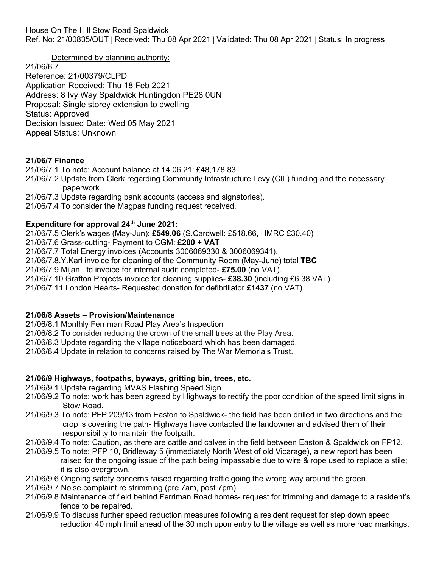House On The Hill Stow Road Spaldwick

Ref. No: 21/00835/OUT | Received: Thu 08 Apr 2021 | Validated: Thu 08 Apr 2021 | Status: In progress

Determined by planning authority:

21/06/6.7 Reference: 21/00379/CLPD Application Received: Thu 18 Feb 2021 Address: 8 Ivy Way Spaldwick Huntingdon PE28 0UN Proposal: Single storey extension to dwelling Status: Approved Decision Issued Date: Wed 05 May 2021 Appeal Status: Unknown

## **21/06/7 Finance**

21/06/7.1 To note: Account balance at 14.06.21: £48,178.83.

21/06/7.2 Update from Clerk regarding Community Infrastructure Levy (CIL) funding and the necessary paperwork.

21/06/7.3 Update regarding bank accounts (access and signatories).

21/06/7.4 To consider the Magpas funding request received.

## **Expenditure for approval 24th June 2021:**

21/06/7.5 Clerk's wages (May-Jun): **£549.06** (S.Cardwell: £518.66, HMRC £30.40) 21/06/7.6 Grass-cutting- Payment to CGM: **£200 + VAT** 21/06/7.7 Total Energy invoices (Accounts 3006069330 & 3006069341). 21/06/7.8.Y.Karl invoice for cleaning of the Community Room (May-June) total **TBC** 21/06/7.9 Mijan Ltd invoice for internal audit completed- **£75.00** (no VAT). 21/06/7.10 Grafton Projects invoice for cleaning supplies- **£38.30** (including £6.38 VAT) 21/06/7.11 London Hearts- Requested donation for defibrillator **£1437** (no VAT)

## **21/06/8 Assets – Provision/Maintenance**

21/06/8.1 Monthly Ferriman Road Play Area's Inspection

21/06/8.2 To consider reducing the crown of the small trees at the Play Area.

21/06/8.3 Update regarding the village noticeboard which has been damaged.

21/06/8.4 Update in relation to concerns raised by The War Memorials Trust.

## **21/06/9 Highways, footpaths, byways, gritting bin, trees, etc.**

21/06/9.1 Update regarding MVAS Flashing Speed Sign

- 21/06/9.2 To note: work has been agreed by Highways to rectify the poor condition of the speed limit signs in Stow Road.
- 21/06/9.3 To note: PFP 209/13 from Easton to Spaldwick- the field has been drilled in two directions and the crop is covering the path- Highways have contacted the landowner and advised them of their responsibility to maintain the footpath.
- 21/06/9.4 To note: Caution, as there are cattle and calves in the field between Easton & Spaldwick on FP12.
- 21/06/9.5 To note: PFP 10, Bridleway 5 (immediately North West of old Vicarage), a new report has been raised for the ongoing issue of the path being impassable due to wire & rope used to replace a stile; it is also overgrown.
- 21/06/9.6 Ongoing safety concerns raised regarding traffic going the wrong way around the green.
- 21/06/9.7 Noise complaint re strimming (pre 7am, post 7pm).
- 21/06/9.8 Maintenance of field behind Ferriman Road homes- request for trimming and damage to a resident's fence to be repaired.
- 21/06/9.9 To discuss further speed reduction measures following a resident request for step down speed reduction 40 mph limit ahead of the 30 mph upon entry to the village as well as more road markings.